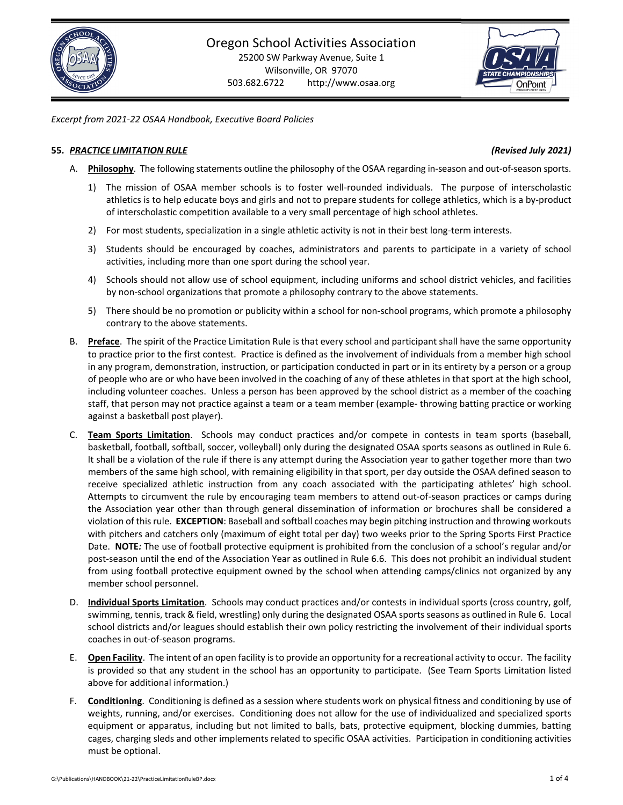## *Excerpt from 2021‐22 OSAA Handbook, Executive Board Policies*

## **55.** *PRACTICE LIMITATION RULE (Revised July 2021)*

- A. Philosophy. The following statements outline the philosophy of the OSAA regarding in-season and out-of-season sports.
	- 1) The mission of OSAA member schools is to foster well‐rounded individuals. The purpose of interscholastic athletics is to help educate boys and girls and not to prepare students for college athletics, which is a by‐product of interscholastic competition available to a very small percentage of high school athletes.
	- 2) For most students, specialization in a single athletic activity is not in their best long-term interests.
	- 3) Students should be encouraged by coaches, administrators and parents to participate in a variety of school activities, including more than one sport during the school year.
	- 4) Schools should not allow use of school equipment, including uniforms and school district vehicles, and facilities by non-school organizations that promote a philosophy contrary to the above statements.
	- 5) There should be no promotion or publicity within a school for non-school programs, which promote a philosophy contrary to the above statements.
- B. **Preface**. The spirit of the Practice Limitation Rule is that every school and participant shall have the same opportunity to practice prior to the first contest. Practice is defined as the involvement of individuals from a member high school in any program, demonstration, instruction, or participation conducted in part or in its entirety by a person or a group of people who are or who have been involved in the coaching of any of these athletes in that sport at the high school, including volunteer coaches. Unless a person has been approved by the school district as a member of the coaching staff, that person may not practice against a team or a team member (example- throwing batting practice or working against a basketball post player).
- C. **Team Sports Limitation**. Schools may conduct practices and/or compete in contests in team sports (baseball, basketball, football, softball, soccer, volleyball) only during the designated OSAA sports seasons as outlined in Rule 6. It shall be a violation of the rule if there is any attempt during the Association year to gather together more than two members of the same high school, with remaining eligibility in that sport, per day outside the OSAA defined season to receive specialized athletic instruction from any coach associated with the participating athletes' high school. Attempts to circumvent the rule by encouraging team members to attend out‐of‐season practices or camps during the Association year other than through general dissemination of information or brochures shall be considered a violation of thisrule. **EXCEPTION**: Baseball and softball coaches may begin pitching instruction and throwing workouts with pitchers and catchers only (maximum of eight total per day) two weeks prior to the Spring Sports First Practice Date. **NOTE***:* The use of football protective equipment is prohibited from the conclusion of a school's regular and/or post‐season until the end of the Association Year as outlined in Rule 6.6. This does not prohibit an individual student from using football protective equipment owned by the school when attending camps/clinics not organized by any member school personnel.
- D. **Individual Sports Limitation**. Schools may conduct practices and/or contests in individual sports (cross country, golf, swimming, tennis, track & field, wrestling) only during the designated OSAA sports seasons as outlined in Rule 6. Local school districts and/or leagues should establish their own policy restricting the involvement of their individual sports coaches in out‐of‐season programs.
- E. **Open Facility**. The intent of an open facility isto provide an opportunity for a recreational activity to occur. The facility is provided so that any student in the school has an opportunity to participate. (See Team Sports Limitation listed above for additional information.)
- F. **Conditioning**. Conditioning is defined as a session where students work on physical fitness and conditioning by use of weights, running, and/or exercises. Conditioning does not allow for the use of individualized and specialized sports equipment or apparatus, including but not limited to balls, bats, protective equipment, blocking dummies, batting cages, charging sleds and other implements related to specific OSAA activities. Participation in conditioning activities must be optional.

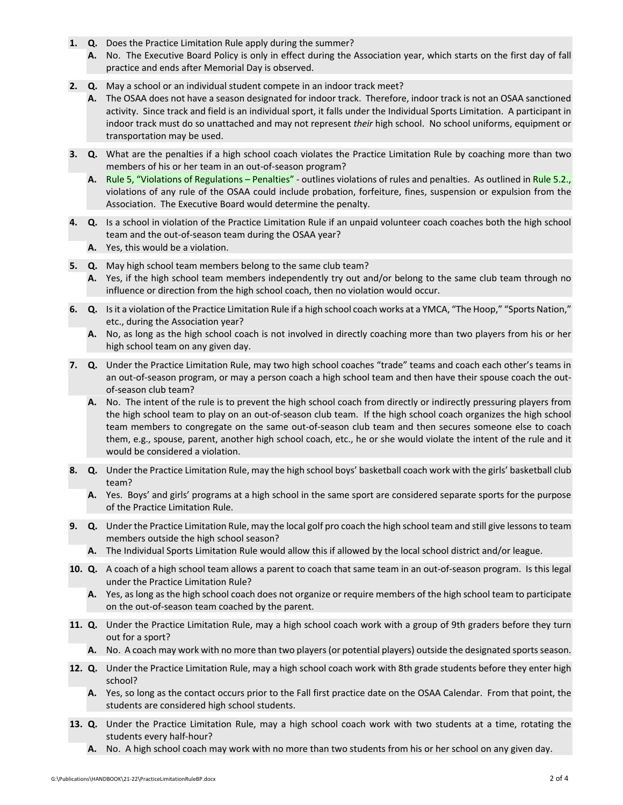- **1. Q.** Does the Practice Limitation Rule apply during the summer?
	- **A.** No. The Executive Board Policy is only in effect during the Association year, which starts on the first day of fall practice and ends after Memorial Day is observed.
- **2. Q.** May a school or an individual student compete in an indoor track meet?
	- **A.** The OSAA does not have a season designated for indoor track. Therefore, indoor track is not an OSAA sanctioned activity. Since track and field is an individual sport, it falls under the Individual Sports Limitation. A participant in indoor track must do so unattached and may not represent *their* high school. No school uniforms, equipment or transportation may be used.
- **3. Q.** What are the penalties if a high school coach violates the Practice Limitation Rule by coaching more than two members of his or her team in an out‐of‐season program?
	- A. Rule 5, "Violations of [Regulations](https://www.osaa.org/governance/handbooks/osaa#_Toc456100268) Penalties" outlines violations of rules and penalties. As outlined in [Rule](https://www.osaa.org/governance/handbooks/osaa#_Toc456100268) 5.2., violations of any rule of the OSAA could include probation, forfeiture, fines, suspension or expulsion from the Association. The Executive Board would determine the penalty.
- **4. Q.** Is a school in violation of the Practice Limitation Rule if an unpaid volunteer coach coaches both the high school team and the out‐of‐season team during the OSAA year?
	- **A.** Yes, this would be a violation.
- **5. Q.** May high school team members belong to the same club team?
	- **A.** Yes, if the high school team members independently try out and/or belong to the same club team through no influence or direction from the high school coach, then no violation would occur.
- **6. Q.** Isit a violation of the Practice Limitation Rule if a high school coach works at a YMCA, "The Hoop," "Sports Nation," etc., during the Association year?
	- **A.** No, as long as the high school coach is not involved in directly coaching more than two players from his or her high school team on any given day.
- **7. Q.** Under the Practice Limitation Rule, may two high school coaches "trade" teams and coach each other's teams in an out-of-season program, or may a person coach a high school team and then have their spouse coach the outof‐season club team?
	- **A.** No. The intent of the rule is to prevent the high school coach from directly or indirectly pressuring players from the high school team to play on an out‐of‐season club team. If the high school coach organizes the high school team members to congregate on the same out‐of‐season club team and then secures someone else to coach them, e.g., spouse, parent, another high school coach, etc., he or she would violate the intent of the rule and it would be considered a violation.
- **8. Q.** Under the Practice Limitation Rule, may the high school boys' basketball coach work with the girls' basketball club team?
	- **A.** Yes. Boys' and girls' programs at a high school in the same sport are considered separate sports for the purpose of the Practice Limitation Rule.
- **9. Q.** Under the Practice Limitation Rule, may the local golf pro coach the high school team and still give lessonsto team members outside the high school season?
	- **A.** The Individual Sports Limitation Rule would allow this if allowed by the local school district and/or league.
- **10. Q.** A coach of a high school team allows a parent to coach that same team in an out‐of‐season program. Is this legal under the Practice Limitation Rule?
	- **A.** Yes, as long as the high school coach does not organize or require members of the high school team to participate on the out‐of‐season team coached by the parent.
- **11. Q.** Under the Practice Limitation Rule, may a high school coach work with a group of 9th graders before they turn out for a sport?
	- A. No. A coach may work with no more than two players (or potential players) outside the designated sports season.
- **12. Q.** Under the Practice Limitation Rule, may a high school coach work with 8th grade students before they enter high school?
	- **A.** Yes, so long as the contact occurs prior to the Fall first practice date on the OSAA Calendar. From that point, the students are considered high school students.
- **13. Q.** Under the Practice Limitation Rule, may a high school coach work with two students at a time, rotating the students every half‐hour?
	- **A.** No. A high school coach may work with no more than two students from his or her school on any given day.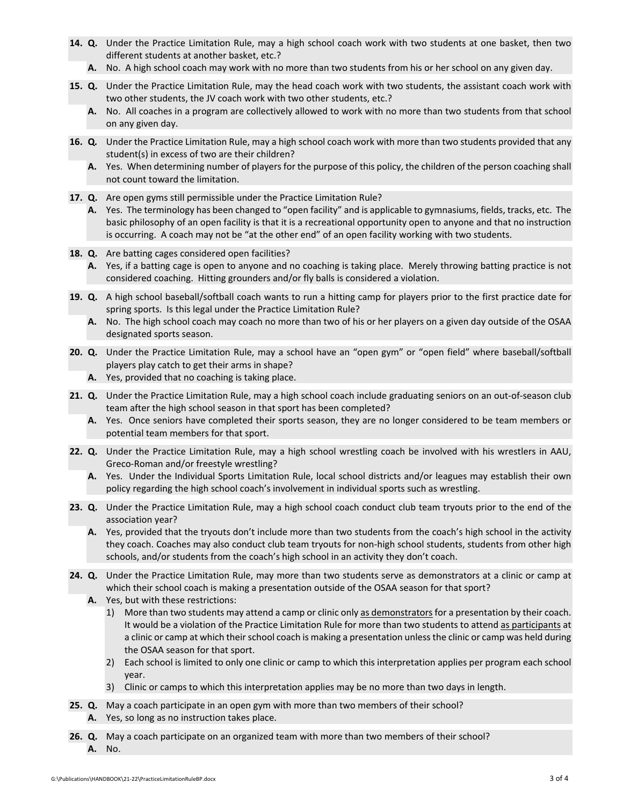- **14. Q.** Under the Practice Limitation Rule, may a high school coach work with two students at one basket, then two different students at another basket, etc.?
	- **A.** No. A high school coach may work with no more than two students from his or her school on any given day.
- **15. Q.** Under the Practice Limitation Rule, may the head coach work with two students, the assistant coach work with two other students, the JV coach work with two other students, etc.?
	- **A.** No. All coaches in a program are collectively allowed to work with no more than two students from that school on any given day.
- **16. Q***.* Under the Practice Limitation Rule, may a high school coach work with more than two students provided that any student(s) in excess of two are their children?
	- **A.** Yes. When determining number of players for the purpose of this policy, the children of the person coaching shall not count toward the limitation.
- **17. Q.** Are open gyms still permissible under the Practice Limitation Rule?
	- **A.** Yes. The terminology has been changed to "open facility" and is applicable to gymnasiums, fields, tracks, etc. The basic philosophy of an open facility is that it is a recreational opportunity open to anyone and that no instruction is occurring. A coach may not be "at the other end" of an open facility working with two students.
- **18. Q.** Are batting cages considered open facilities?
	- **A.** Yes, if a batting cage is open to anyone and no coaching is taking place. Merely throwing batting practice is not considered coaching. Hitting grounders and/or fly balls is considered a violation.
- **19. Q.** A high school baseball/softball coach wants to run a hitting camp for players prior to the first practice date for spring sports. Is this legal under the Practice Limitation Rule?
	- **A.** No. The high school coach may coach no more than two of his or her players on a given day outside of the OSAA designated sports season.
- **20. Q.** Under the Practice Limitation Rule, may a school have an "open gym" or "open field" where baseball/softball players play catch to get their arms in shape?
	- **A.** Yes, provided that no coaching is taking place.
- **21. Q.** Under the Practice Limitation Rule, may a high school coach include graduating seniors on an out‐of‐season club team after the high school season in that sport has been completed?
	- **A.** Yes. Once seniors have completed their sports season, they are no longer considered to be team members or potential team members for that sport.
- **22. Q.** Under the Practice Limitation Rule, may a high school wrestling coach be involved with his wrestlers in AAU, Greco‐Roman and/or freestyle wrestling?
	- **A.** Yes. Under the Individual Sports Limitation Rule, local school districts and/or leagues may establish their own policy regarding the high school coach's involvement in individual sports such as wrestling.
- **23. Q.** Under the Practice Limitation Rule, may a high school coach conduct club team tryouts prior to the end of the association year?
	- **A.** Yes, provided that the tryouts don't include more than two students from the coach's high school in the activity they coach. Coaches may also conduct club team tryouts for non‐high school students, students from other high schools, and/or students from the coach's high school in an activity they don't coach.
- **24. Q.** Under the Practice Limitation Rule, may more than two students serve as demonstrators at a clinic or camp at which their school coach is making a presentation outside of the OSAA season for that sport?
	- **A.** Yes, but with these restrictions:
		- 1) More than two students may attend a camp or clinic only as demonstrators for a presentation by their coach. It would be a violation of the Practice Limitation Rule for more than two students to attend as participants at a clinic or camp at which their school coach is making a presentation unless the clinic or camp was held during the OSAA season for that sport.
		- 2) Each school is limited to only one clinic or camp to which this interpretation applies per program each school year.
		- 3) Clinic or camps to which this interpretation applies may be no more than two days in length.
- **25. Q.** May a coach participate in an open gym with more than two members of their school? **A.** Yes, so long as no instruction takes place.
- **26. Q.** May a coach participate on an organized team with more than two members of their school? **A.** No.